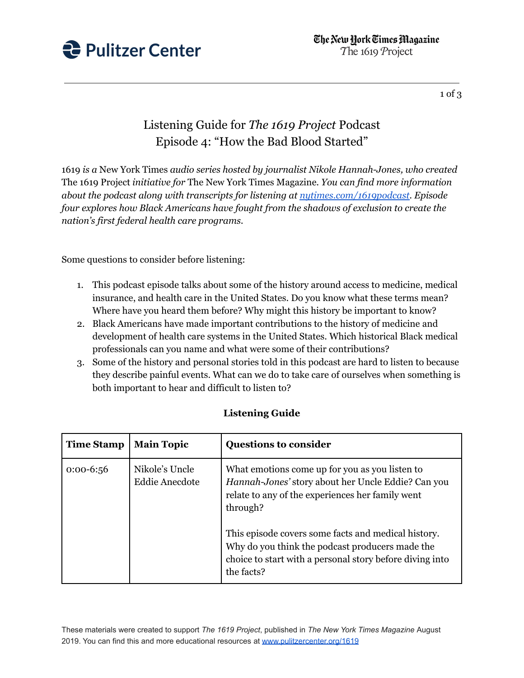

1 of 3

## Listening Guide for *The 1619 Project* Podcast Episode 4: "How the Bad Blood Started"

1619 *is a* New York Times *audio series hosted by journalist Nikole Hannah-Jones, who created* The 1619 Project *initiative for* The New York Times Magazine*. You can find more information about the podcast along with transcripts for listening at [nytimes.com/1619podcast.](https://www.nytimes.com/2020/01/23/podcasts/1619-podcast.html) Episode four explores how Black Americans have fought from the shadows of exclusion to create the nation's first federal health care programs.*

Some questions to consider before listening:

- 1. This podcast episode talks about some of the history around access to medicine, medical insurance, and health care in the United States. Do you know what these terms mean? Where have you heard them before? Why might this history be important to know?
- 2. Black Americans have made important contributions to the history of medicine and development of health care systems in the United States. Which historical Black medical professionals can you name and what were some of their contributions?
- 3. Some of the history and personal stories told in this podcast are hard to listen to because they describe painful events. What can we do to take care of ourselves when something is both important to hear and difficult to listen to?

| <b>Time Stamp</b> | <b>Main Topic</b>                       | <b>Questions to consider</b>                                                                                                                                                     |
|-------------------|-----------------------------------------|----------------------------------------------------------------------------------------------------------------------------------------------------------------------------------|
| $0:00-6:56$       | Nikole's Uncle<br><b>Eddie Anecdote</b> | What emotions come up for you as you listen to<br>Hannah-Jones' story about her Uncle Eddie? Can you<br>relate to any of the experiences her family went<br>through?             |
|                   |                                         | This episode covers some facts and medical history.<br>Why do you think the podcast producers made the<br>choice to start with a personal story before diving into<br>the facts? |

## **Listening Guide**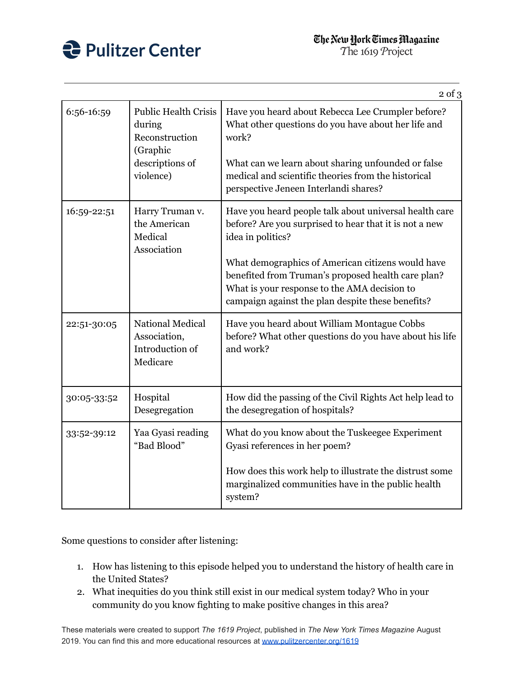

|             |                                                                                                     | $2$ of $3$                                                                                                                                                                                                                                                                                                                                            |
|-------------|-----------------------------------------------------------------------------------------------------|-------------------------------------------------------------------------------------------------------------------------------------------------------------------------------------------------------------------------------------------------------------------------------------------------------------------------------------------------------|
| 6:56-16:59  | <b>Public Health Crisis</b><br>during<br>Reconstruction<br>(Graphic<br>descriptions of<br>violence) | Have you heard about Rebecca Lee Crumpler before?<br>What other questions do you have about her life and<br>work?<br>What can we learn about sharing unfounded or false<br>medical and scientific theories from the historical<br>perspective Jeneen Interlandi shares?                                                                               |
| 16:59-22:51 | Harry Truman v.<br>the American<br>Medical<br>Association                                           | Have you heard people talk about universal health care<br>before? Are you surprised to hear that it is not a new<br>idea in politics?<br>What demographics of American citizens would have<br>benefited from Truman's proposed health care plan?<br>What is your response to the AMA decision to<br>campaign against the plan despite these benefits? |
| 22:51-30:05 | <b>National Medical</b><br>Association,<br>Introduction of<br>Medicare                              | Have you heard about William Montague Cobbs<br>before? What other questions do you have about his life<br>and work?                                                                                                                                                                                                                                   |
| 30:05-33:52 | Hospital<br>Desegregation                                                                           | How did the passing of the Civil Rights Act help lead to<br>the desegregation of hospitals?                                                                                                                                                                                                                                                           |
| 33:52-39:12 | Yaa Gyasi reading<br>"Bad Blood"                                                                    | What do you know about the Tuskeegee Experiment<br>Gyasi references in her poem?<br>How does this work help to illustrate the distrust some<br>marginalized communities have in the public health<br>system?                                                                                                                                          |

Some questions to consider after listening:

- 1. How has listening to this episode helped you to understand the history of health care in the United States?
- 2. What inequities do you think still exist in our medical system today? Who in your community do you know fighting to make positive changes in this area?